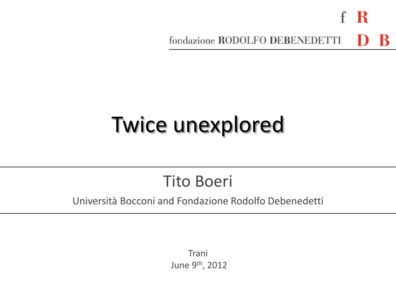-R  $\mathbf{f}$ fondazione RODOLFO DEBENEDETTI

### Twice unexplored

### Tito Boeri

#### Università Bocconi and Fondazione Rodolfo Debenedetti

**Trani** June 9<sup>th</sup>, 2012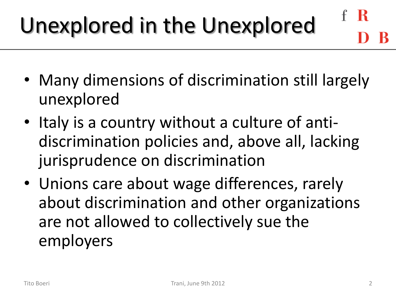# Unexplored in the Unexplored

- 
- Many dimensions of discrimination still largely unexplored
- Italy is a country without a culture of antidiscrimination policies and, above all, lacking jurisprudence on discrimination
- Unions care about wage differences, rarely about discrimination and other organizations are not allowed to collectively sue the employers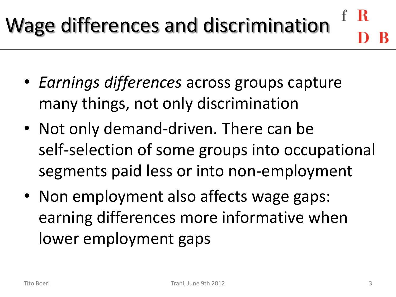# Wage differences and discrimination

- *Earnings differences* across groups capture many things, not only discrimination
- Not only demand-driven. There can be self-selection of some groups into occupational segments paid less or into non-employment
- Non employment also affects wage gaps: earning differences more informative when lower employment gaps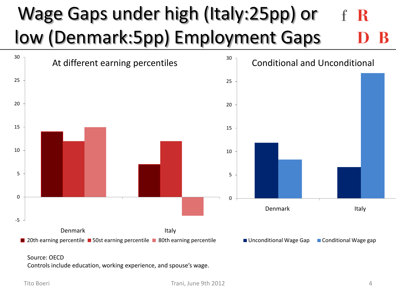#### Wage Gaps under high (Italy:25pp) or R low (Denmark:5pp) Employment Gaps



#### Source: OECD

Controls include education, working experience, and spouse's wage.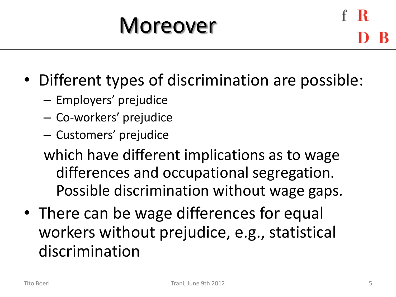### Moreover

- Different types of discrimination are possible:
	- Employers' prejudice
	- Co-workers' prejudice
	- Customers' prejudice
	- which have different implications as to wage differences and occupational segregation. Possible discrimination without wage gaps.
- There can be wage differences for equal workers without prejudice, e.g., statistical discrimination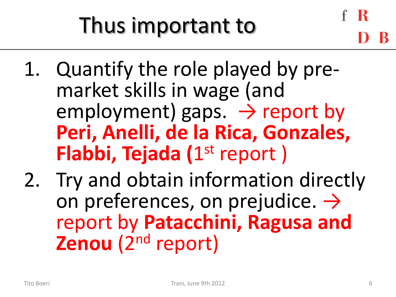### Thus important to

- 
- 1. Quantify the role played by premarket skills in wage (and employment) gaps.  $\rightarrow$  report by **Peri, Anelli, de la Rica, Gonzales,**  Flabbi, Tejada (1<sup>st</sup> report)
- 2. Try and obtain information directly on preferences, on prejudice.  $\rightarrow$ report by **Patacchini, Ragusa and Zenou** (2<sup>nd</sup> report)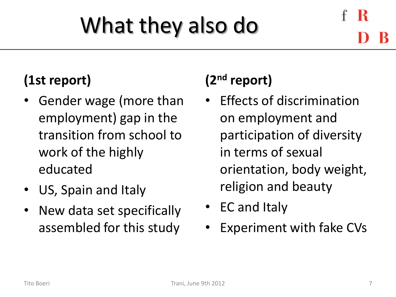## What they also do

#### **(1st report)**

- Gender wage (more than employment) gap in the transition from school to work of the highly educated
- US, Spain and Italy
- New data set specifically assembled for this study

#### **(2nd report)**

- Effects of discrimination on employment and participation of diversity in terms of sexual orientation, body weight, religion and beauty
- EC and Italy
- Experiment with fake CVs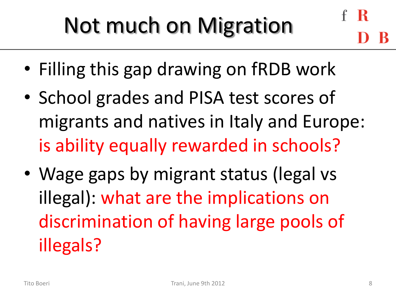## Not much on Migration

- Filling this gap drawing on fRDB work
- School grades and PISA test scores of migrants and natives in Italy and Europe: is ability equally rewarded in schools?
- Wage gaps by migrant status (legal vs illegal): what are the implications on discrimination of having large pools of illegals?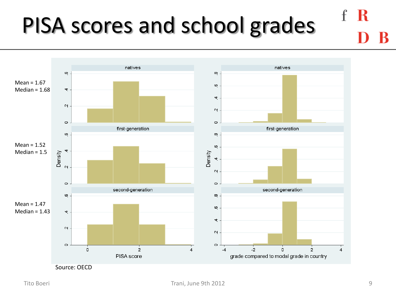## PISA scores and school grades



R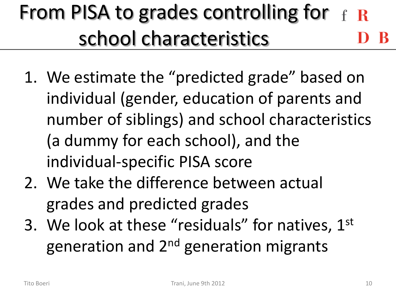### From PISA to grades controlling for  $f$  R school characteristics

- 1. We estimate the "predicted grade" based on individual (gender, education of parents and number of siblings) and school characteristics (a dummy for each school), and the individual-specific PISA score
- 2. We take the difference between actual grades and predicted grades
- 3. We look at these "residuals" for natives, 1st generation and 2<sup>nd</sup> generation migrants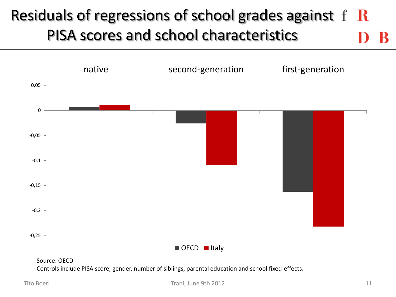### Residuals of regressions of school grades against  $f \, R$ PISA scores and school characteristics



Source: OECD

Controls include PISA score, gender, number of siblings, parental education and school fixed-effects.

Trani, June 9th 2012 **11** Transaction of the United States of the United States of the United States of the United States of the United States of the United States of the United States of the United States of the United St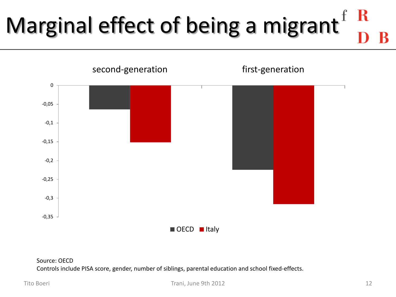### R Marginal effect of being a migrant



Source: OECD Controls include PISA score, gender, number of siblings, parental education and school fixed-effects.

Trani, June 9th 2012 **12** and the Boeri Transaction of the Trani, June 9th 2012 **12** and the US and the US and the US and the US and the US and the US and the US and the US and the US and the US and the US and the US and t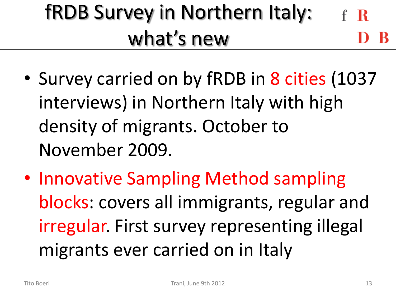#### fRDB Survey in Northern Italy: -R what's new

- Survey carried on by fRDB in 8 cities (1037) interviews) in Northern Italy with high density of migrants. October to November 2009.
- Innovative Sampling Method sampling blocks: covers all immigrants, regular and irregular. First survey representing illegal migrants ever carried on in Italy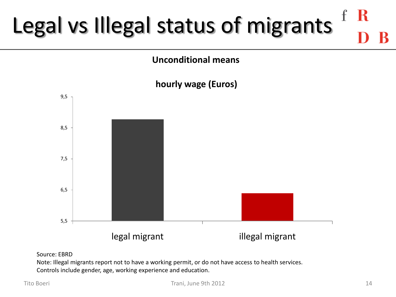#### -R Legal vs Illegal status of migrants

#### **Unconditional means**



#### Source: EBRD

Note: Illegal migrants report not to have a working permit, or do not have access to health services. Controls include gender, age, working experience and education.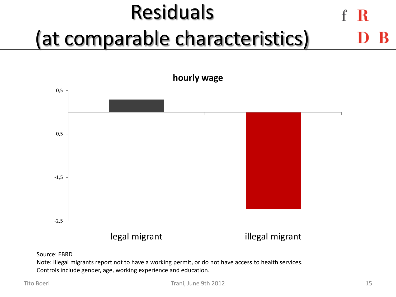### Residuals (at comparable characteristics)



Source: EBRD

Note: Illegal migrants report not to have a working permit, or do not have access to health services. Controls include gender, age, working experience and education.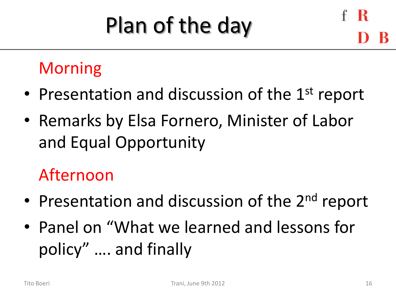## Plan of the day

### Morning

- Presentation and discussion of the 1<sup>st</sup> report
- Remarks by Elsa Fornero, Minister of Labor and Equal Opportunity

#### Afternoon

- Presentation and discussion of the 2<sup>nd</sup> report
- Panel on "What we learned and lessons for policy" …. and finally